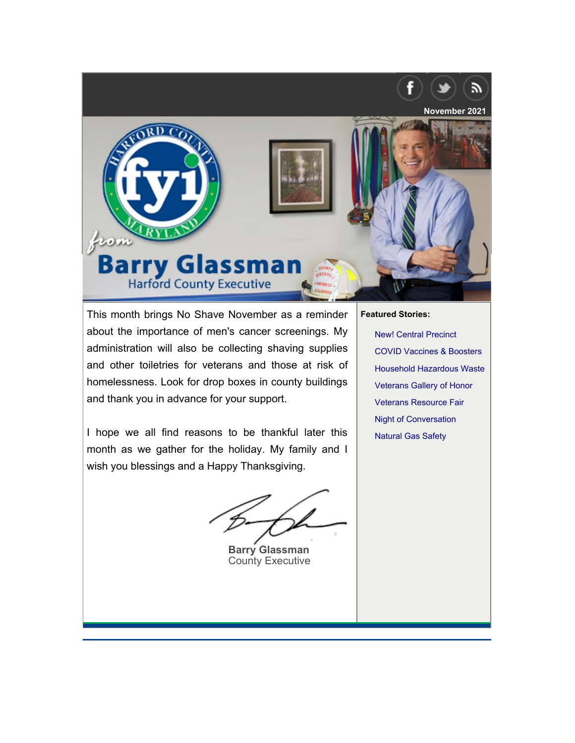<span id="page-0-0"></span>

This month brings No Shave November as a reminder about the importance of men's cancer screenings. My administration will also be collecting shaving supplies and other toiletries for veterans and those at risk of homelessness. Look for drop boxes in county buildings and thank you in advance for your support.

I hope we all find reasons to be thankful later this month as we gather for the holiday. My family and I wish you blessings and a Happy Thanksgiving.

**Barry Glassman** County Executive

#### **Fe[atured Stories:](#page-2-0)**

[New! Central Precinct](#page-2-1) [COVID Vaccines & Boos](#page-3-0)ters [Household Hazardous](#page-3-1) Waste [Veterans Gallery of](#page-4-0) Honor Veterans Resource Fair Night of Conversation Natural Gas Safety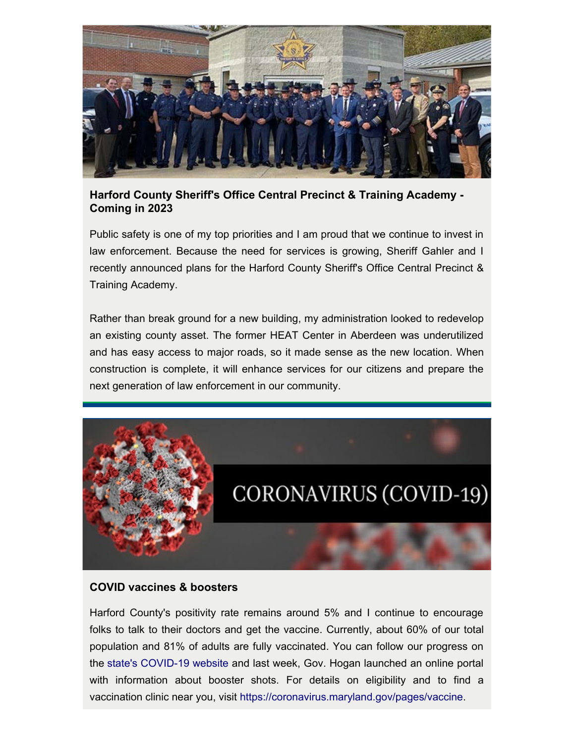

## **Harford County Sheriff's Office Central Precinct & Training Academy - Coming in 2023**

Public safety is one of my top priorities and I am proud that we continue to invest in law enforcement. Because the need for services is growing, Sheriff Gahler and I recently announced plans for the Harford County Sheriff's Office Central Precinct & Training Academy.

Rather than break ground for a new building, my administration looked to redevelop an existing county asset. The former HEAT Center in Aberdeen was underutilized and has easy access to major roads, so it made sense as the new location. When construction is complete, it will enhance services for our citizens and prepare the next generation of law enforcement in our community.



#### **COVID vaccines & boosters**

Harford County's positivity rate remains around 5% and I continue to encourage folks to talk to their doctors and get the vaccine. Currently, about 60% of our total population and 81% of adults are fully vaccinated. You can follow our progress on the [state's COVID-19 website](https://coronavirus.maryland.gov/#Vaccine) and last week, Gov. Hogan launched an online portal with information about booster shots. For details on eligibility and to find a vaccination clinic near you, visi[t https://coronavirus.maryland.gov/pages/vaccine](https://coronavirus.maryland.gov/pages/vaccine).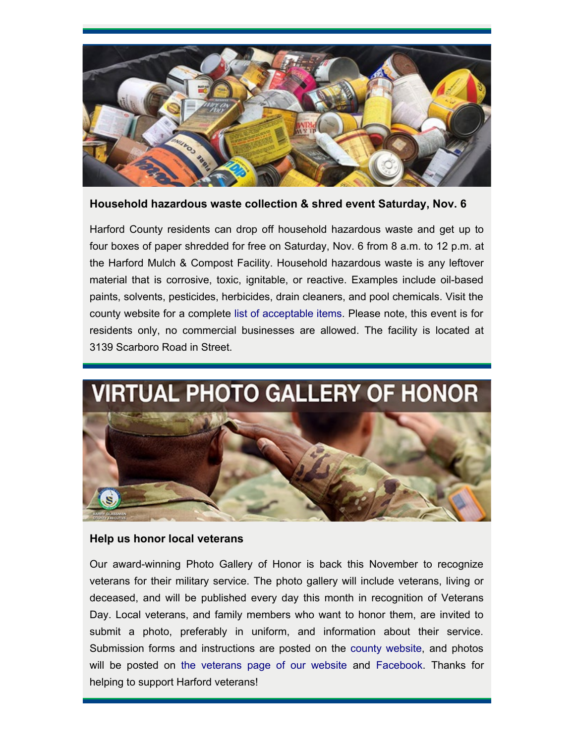

**Household hazardous waste collection & shred event Saturday, Nov. 6**

<span id="page-2-0"></span>Harford County residents can drop off household hazardous waste and get up to four boxes of paper shredded for free on Saturday, Nov. 6 from 8 a.m. to 12 p.m. at the Harford Mulch & Compost Facility. Household hazardous waste is any leftover material that is corrosive, toxic, ignitable, or reactive. Examples include oil-based paints, solvents, pesticides, herbicides, drain cleaners, and pool chemicals. Visit the county website for a complet[e list of acceptable items](http://www.harfordcountymd.gov/276/Household-Hazardous-Waste). Please note, this event is for residents only, no commercial businesses are allowed. The facility is located at 3139 Scarboro Road in Street.



### <span id="page-2-1"></span>**Help us honor local veterans**

Our award-winning Photo Gallery of Honor is back this November to recognize veterans for their military service. The photo gallery will include veterans, living or deceased, and will be published every day this month in recognition of Veterans Day. Local veterans, and family members who want to honor them, are invited to submit a photo, preferably in uniform, and information about their service. Submission forms and instructions are posted on the [county website](https://www.harfordcountymd.gov/FormCenter/Veterans-Affairs-Commission-60/Harford-County-Veterans-Virtual-Photo-Ga-364), and photos will be posted o[n the veterans page of our website](https://www.harfordcountymd.gov/927/James-V-McMahan-Commission-on-Veterans-A) and [Facebook](https://www.facebook.com/HarfordVeterans12). Thanks for helping to support Harford veterans!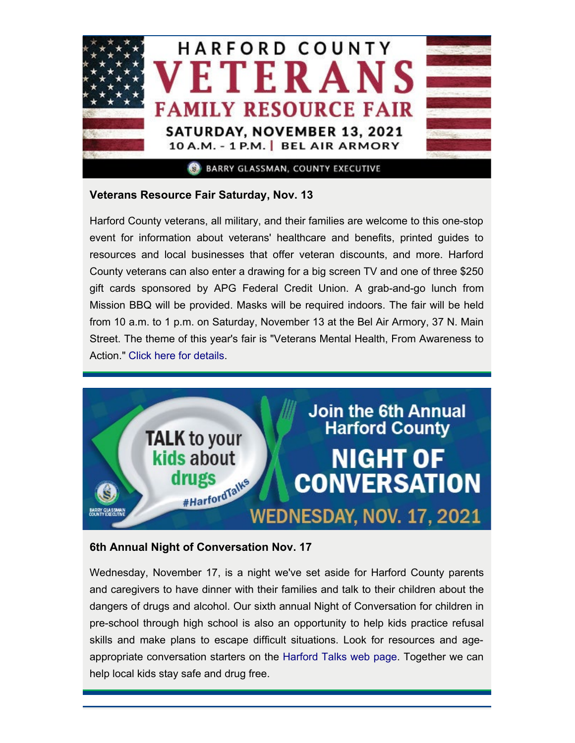

# <span id="page-3-0"></span>**Veterans Resource Fair Saturday, Nov. 13**

Harford County veterans, all military, and their families are welcome to this one-stop event for information about veterans' healthcare and benefits, printed guides to resources and local businesses that offer veteran discounts, and more. Harford County veterans can also enter a drawing for a big screen TV and one of three \$250 gift cards sponsored by APG Federal Credit Union. A grab-and-go lunch from Mission BBQ will be provided. Masks will be required indoors. The fair will be held from 10 a.m. to 1 p.m. on Saturday, November 13 at the Bel Air Armory, 37 N. Main Street. The theme of this year's fair is "Veterans Mental Health, From Awareness to Action." [Click here for details.](https://www.harfordcountymd.gov/ArchiveCenter/ViewFile/Item/1980)



# <span id="page-3-1"></span>**6th Annual Night of Conversation Nov. 17**

Wednesday, November 17, is a night we've set aside for Harford County parents and caregivers to have dinner with their families and talk to their children about the dangers of drugs and alcohol. Our sixth annual Night of Conversation for children in pre-school through high school is also an opportunity to help kids practice refusal skills and make plans to escape difficult situations. Look for resources and ageappropriate conversation starters on the [Harford Talks web page.](https://www.harfordcountymd.gov/2773/Night-of-Conversation) Together we can help local kids stay safe and drug free.